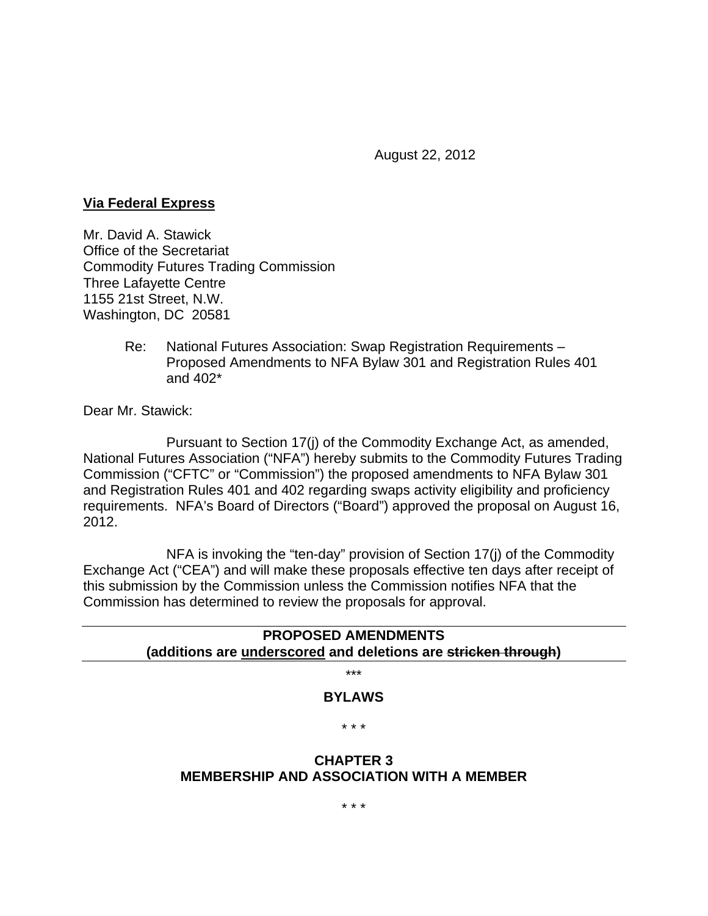August 22, 2012

#### **Via Federal Express**

Mr. David A. Stawick Office of the Secretariat Commodity Futures Trading Commission Three Lafayette Centre 1155 21st Street, N.W. Washington, DC 20581

> Re: National Futures Association: Swap Registration Requirements – Proposed Amendments to NFA Bylaw 301 and Registration Rules 401 and 402\*

Dear Mr. Stawick:

 Pursuant to Section 17(j) of the Commodity Exchange Act, as amended, National Futures Association ("NFA") hereby submits to the Commodity Futures Trading Commission ("CFTC" or "Commission") the proposed amendments to NFA Bylaw 301 and Registration Rules 401 and 402 regarding swaps activity eligibility and proficiency requirements. NFA's Board of Directors ("Board") approved the proposal on August 16, 2012.

 NFA is invoking the "ten-day" provision of Section 17(j) of the Commodity Exchange Act ("CEA") and will make these proposals effective ten days after receipt of this submission by the Commission unless the Commission notifies NFA that the Commission has determined to review the proposals for approval.

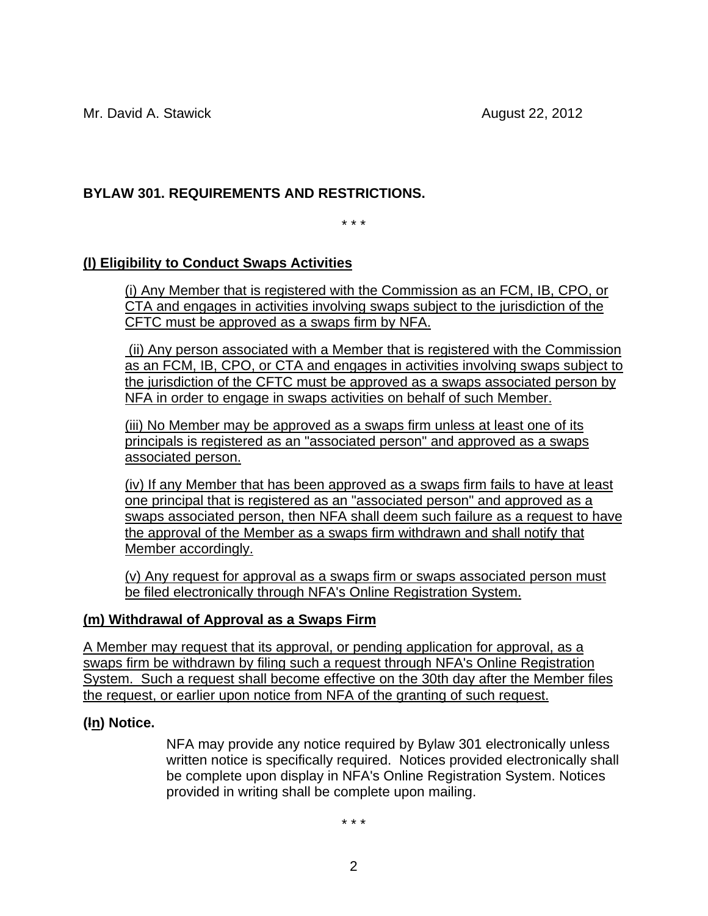Mr. David A. Stawick **August 22, 2012** 

# **BYLAW 301. REQUIREMENTS AND RESTRICTIONS.**

\* \* \*

# **(l) Eligibility to Conduct Swaps Activities**

(i) Any Member that is registered with the Commission as an FCM, IB, CPO, or CTA and engages in activities involving swaps subject to the jurisdiction of the CFTC must be approved as a swaps firm by NFA.

 (ii) Any person associated with a Member that is registered with the Commission as an FCM, IB, CPO, or CTA and engages in activities involving swaps subject to the jurisdiction of the CFTC must be approved as a swaps associated person by NFA in order to engage in swaps activities on behalf of such Member.

(iii) No Member may be approved as a swaps firm unless at least one of its principals is registered as an "associated person" and approved as a swaps associated person.

(iv) If any Member that has been approved as a swaps firm fails to have at least one principal that is registered as an "associated person" and approved as a swaps associated person, then NFA shall deem such failure as a request to have the approval of the Member as a swaps firm withdrawn and shall notify that Member accordingly.

(v) Any request for approval as a swaps firm or swaps associated person must be filed electronically through NFA's Online Registration System.

## **(m) Withdrawal of Approval as a Swaps Firm**

A Member may request that its approval, or pending application for approval, as a swaps firm be withdrawn by filing such a request through NFA's Online Registration System. Such a request shall become effective on the 30th day after the Member files the request, or earlier upon notice from NFA of the granting of such request.

## **(ln) Notice.**

NFA may provide any notice required by Bylaw 301 electronically unless written notice is specifically required. Notices provided electronically shall be complete upon display in NFA's Online Registration System. Notices provided in writing shall be complete upon mailing.

\* \* \*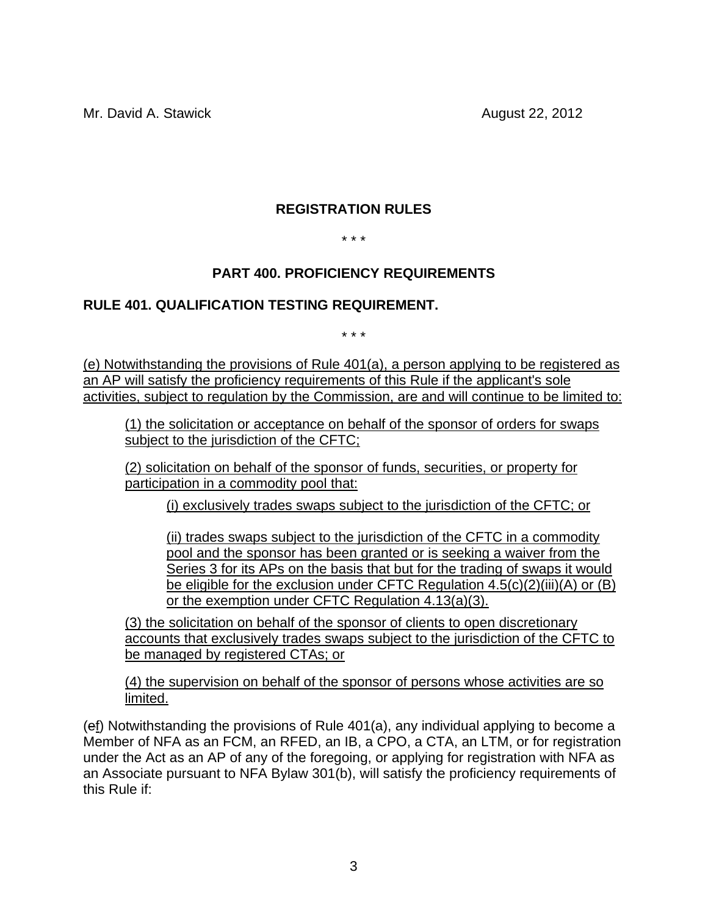Mr. David A. Stawick **August 22, 2012** 

## **REGISTRATION RULES**

#### \* \* \*

## **PART 400. PROFICIENCY REQUIREMENTS**

#### **RULE 401. QUALIFICATION TESTING REQUIREMENT.**

\* \* \*

(e) Notwithstanding the provisions of Rule 401(a), a person applying to be registered as an AP will satisfy the proficiency requirements of this Rule if the applicant's sole activities, subject to regulation by the Commission, are and will continue to be limited to:

(1) the solicitation or acceptance on behalf of the sponsor of orders for swaps subject to the jurisdiction of the CFTC;

(2) solicitation on behalf of the sponsor of funds, securities, or property for participation in a commodity pool that:

(i) exclusively trades swaps subject to the jurisdiction of the CFTC; or

(ii) trades swaps subject to the jurisdiction of the CFTC in a commodity pool and the sponsor has been granted or is seeking a waiver from the Series 3 for its APs on the basis that but for the trading of swaps it would be eligible for the exclusion under CFTC Regulation 4.5(c)(2)(iii)(A) or (B) or the exemption under CFTC Regulation 4.13(a)(3).

(3) the solicitation on behalf of the sponsor of clients to open discretionary accounts that exclusively trades swaps subject to the jurisdiction of the CFTC to be managed by registered CTAs; or

(4) the supervision on behalf of the sponsor of persons whose activities are so limited.

(ef) Notwithstanding the provisions of Rule 401(a), any individual applying to become a Member of NFA as an FCM, an RFED, an IB, a CPO, a CTA, an LTM, or for registration under the Act as an AP of any of the foregoing, or applying for registration with NFA as an Associate pursuant to NFA Bylaw 301(b), will satisfy the proficiency requirements of this Rule if: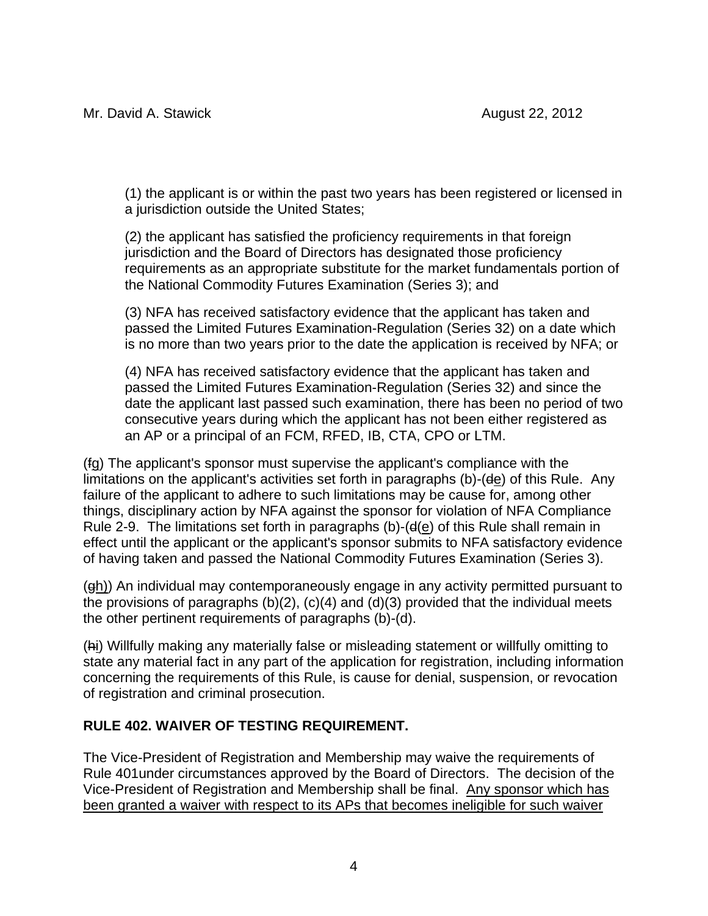(1) the applicant is or within the past two years has been registered or licensed in a jurisdiction outside the United States;

(2) the applicant has satisfied the proficiency requirements in that foreign jurisdiction and the Board of Directors has designated those proficiency requirements as an appropriate substitute for the market fundamentals portion of the National Commodity Futures Examination (Series 3); and

(3) NFA has received satisfactory evidence that the applicant has taken and passed the Limited Futures Examination-Regulation (Series 32) on a date which is no more than two years prior to the date the application is received by NFA; or

(4) NFA has received satisfactory evidence that the applicant has taken and passed the Limited Futures Examination-Regulation (Series 32) and since the date the applicant last passed such examination, there has been no period of two consecutive years during which the applicant has not been either registered as an AP or a principal of an FCM, RFED, IB, CTA, CPO or LTM.

(fg) The applicant's sponsor must supervise the applicant's compliance with the limitations on the applicant's activities set forth in paragraphs (b)-(de) of this Rule. Any failure of the applicant to adhere to such limitations may be cause for, among other things, disciplinary action by NFA against the sponsor for violation of NFA Compliance Rule 2-9. The limitations set forth in paragraphs (b)-( $d(e)$  of this Rule shall remain in effect until the applicant or the applicant's sponsor submits to NFA satisfactory evidence of having taken and passed the National Commodity Futures Examination (Series 3).

(gh)) An individual may contemporaneously engage in any activity permitted pursuant to the provisions of paragraphs  $(b)(2)$ ,  $(c)(4)$  and  $(d)(3)$  provided that the individual meets the other pertinent requirements of paragraphs (b)-(d).

(hi) Willfully making any materially false or misleading statement or willfully omitting to state any material fact in any part of the application for registration, including information concerning the requirements of this Rule, is cause for denial, suspension, or revocation of registration and criminal prosecution.

## **RULE 402. WAIVER OF TESTING REQUIREMENT.**

The Vice-President of Registration and Membership may waive the requirements of Rule 401under circumstances approved by the Board of Directors. The decision of the Vice-President of Registration and Membership shall be final. Any sponsor which has been granted a waiver with respect to its APs that becomes ineligible for such waiver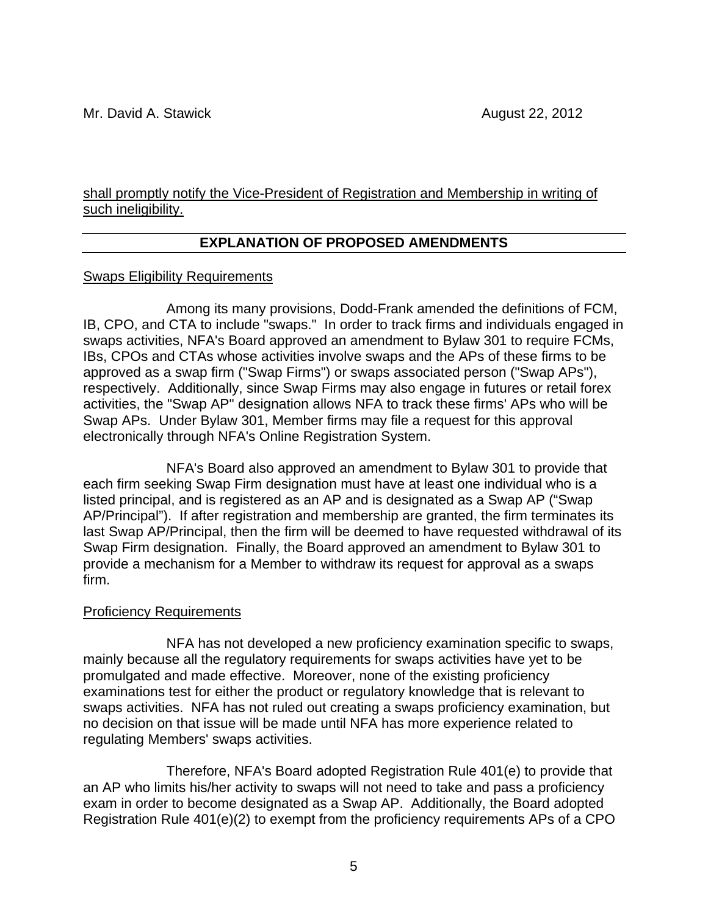#### shall promptly notify the Vice-President of Registration and Membership in writing of such ineligibility.

## **EXPLANATION OF PROPOSED AMENDMENTS**

#### Swaps Eligibility Requirements

Among its many provisions, Dodd-Frank amended the definitions of FCM, IB, CPO, and CTA to include "swaps." In order to track firms and individuals engaged in swaps activities, NFA's Board approved an amendment to Bylaw 301 to require FCMs, IBs, CPOs and CTAs whose activities involve swaps and the APs of these firms to be approved as a swap firm ("Swap Firms") or swaps associated person ("Swap APs"), respectively. Additionally, since Swap Firms may also engage in futures or retail forex activities, the "Swap AP" designation allows NFA to track these firms' APs who will be Swap APs. Under Bylaw 301, Member firms may file a request for this approval electronically through NFA's Online Registration System.

NFA's Board also approved an amendment to Bylaw 301 to provide that each firm seeking Swap Firm designation must have at least one individual who is a listed principal, and is registered as an AP and is designated as a Swap AP ("Swap AP/Principal"). If after registration and membership are granted, the firm terminates its last Swap AP/Principal, then the firm will be deemed to have requested withdrawal of its Swap Firm designation. Finally, the Board approved an amendment to Bylaw 301 to provide a mechanism for a Member to withdraw its request for approval as a swaps firm.

#### Proficiency Requirements

NFA has not developed a new proficiency examination specific to swaps, mainly because all the regulatory requirements for swaps activities have yet to be promulgated and made effective. Moreover, none of the existing proficiency examinations test for either the product or regulatory knowledge that is relevant to swaps activities. NFA has not ruled out creating a swaps proficiency examination, but no decision on that issue will be made until NFA has more experience related to regulating Members' swaps activities.

Therefore, NFA's Board adopted Registration Rule 401(e) to provide that an AP who limits his/her activity to swaps will not need to take and pass a proficiency exam in order to become designated as a Swap AP. Additionally, the Board adopted Registration Rule 401(e)(2) to exempt from the proficiency requirements APs of a CPO